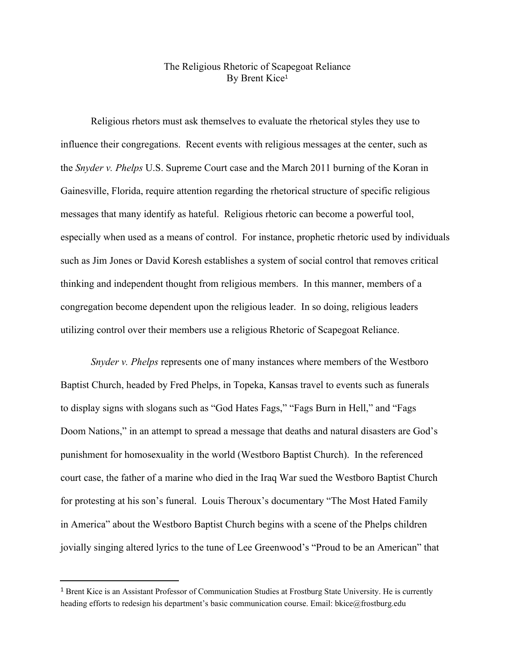## The Religious Rhetoric of Scapegoat Reliance By Brent Kice 1

Religious rhetors must ask themselves to evaluate the rhetorical styles they use to influence their congregations. Recent events with religious messages at the center, such as the *Snyder v. Phelps* U.S. Supreme Court case and the March 2011 burning of the Koran in Gainesville, Florida, require attention regarding the rhetorical structure of specific religious messages that many identify as hateful. Religious rhetoric can become a powerful tool, especially when used as a means of control. For instance, prophetic rhetoric used by individuals such as Jim Jones or David Koresh establishes a system of social control that removes critical thinking and independent thought from religious members. In this manner, members of a congregation become dependent upon the religious leader. In so doing, religious leaders utilizing control over their members use a religious Rhetoric of Scapegoat Reliance.

*Snyder v. Phelps* represents one of many instances where members of the Westboro Baptist Church, headed by Fred Phelps, in Topeka, Kansas travel to events such as funerals to display signs with slogans such as "God Hates Fags," "Fags Burn in Hell," and "Fags Doom Nations," in an attempt to spread a message that deaths and natural disasters are God's punishment for homosexuality in the world (Westboro Baptist Church). In the referenced court case, the father of a marine who died in the Iraq War sued the Westboro Baptist Church for protesting at his son's funeral. Louis Theroux's documentary "The Most Hated Family in America" about the Westboro Baptist Church begins with a scene of the Phelps children jovially singing altered lyrics to the tune of Lee Greenwood's "Proud to be an American" that

<sup>1</sup> Brent Kice is an Assistant Professor of Communication Studies at Frostburg State University. He is currently heading efforts to redesign his department's basic communication course. Email: bkice@frostburg.edu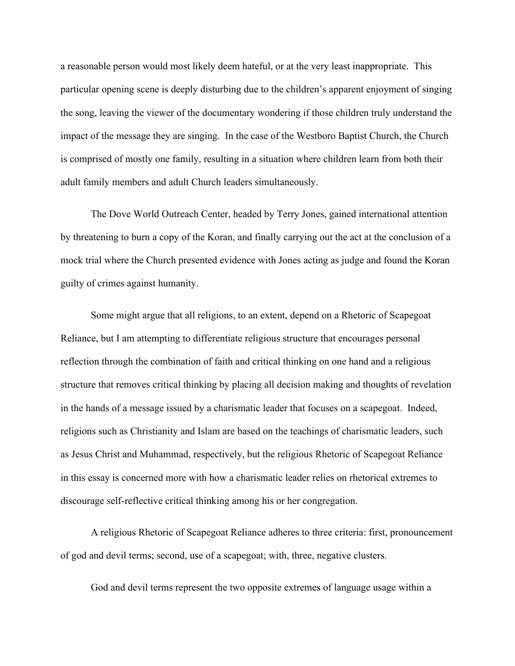a reasonable person would most likely deem hateful, or at the very least inappropriate. This particular opening scene is deeply disturbing due to the children's apparent enjoyment of singing the song, leaving the viewer of the documentary wondering if those children truly understand the impact of the message they are singing. In the case of the Westboro Baptist Church, the Church is comprised of mostly one family, resulting in a situation where children learn from both their adult family members and adult Church leaders simultaneously.

The Dove World Outreach Center, headed by Terry Jones, gained international attention by threatening to burn a copy of the Koran, and finally carrying out the act at the conclusion of a mock trial where the Church presented evidence with Jones acting as judge and found the Koran guilty of crimes against humanity.

Some might argue that all religions, to an extent, depend on a Rhetoric of Scapegoat Reliance, but I am attempting to differentiate religious structure that encourages personal reflection through the combination of faith and critical thinking on one hand and a religious structure that removes critical thinking by placing all decision making and thoughts of revelation in the hands of a message issued by a charismatic leader that focuses on a scapegoat. Indeed, religions such as Christianity and Islam are based on the teachings of charismatic leaders, such as Jesus Christ and Muhammad, respectively, but the religious Rhetoric of Scapegoat Reliance in this essay is concerned more with how a charismatic leader relies on rhetorical extremes to discourage self-reflective critical thinking among his or her congregation.

A religious Rhetoric of Scapegoat Reliance adheres to three criteria: first, pronouncement of god and devil terms; second, use of a scapegoat; with, three, negative clusters.

God and devil terms represent the two opposite extremes of language usage within a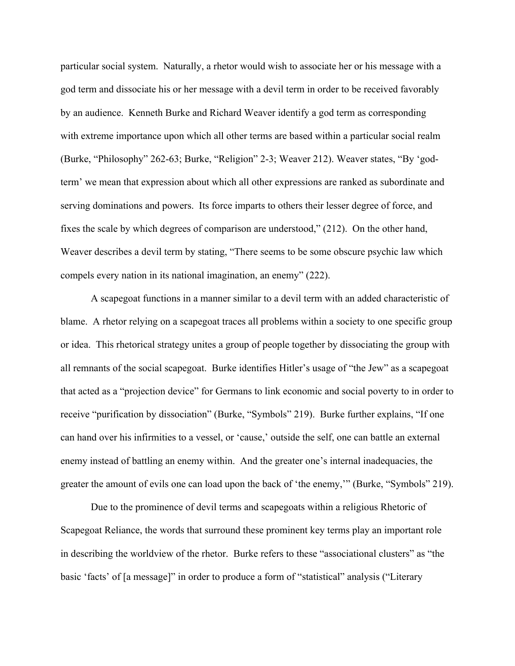particular social system. Naturally, a rhetor would wish to associate her or his message with a god term and dissociate his or her message with a devil term in order to be received favorably by an audience. Kenneth Burke and Richard Weaver identify a god term as corresponding with extreme importance upon which all other terms are based within a particular social realm (Burke, "Philosophy" 262-63; Burke, "Religion" 2-3; Weaver 212). Weaver states, "By 'godterm' we mean that expression about which all other expressions are ranked as subordinate and serving dominations and powers. Its force imparts to others their lesser degree of force, and fixes the scale by which degrees of comparison are understood," (212). On the other hand, Weaver describes a devil term by stating, "There seems to be some obscure psychic law which compels every nation in its national imagination, an enemy" (222).

A scapegoat functions in a manner similar to a devil term with an added characteristic of blame. A rhetor relying on a scapegoat traces all problems within a society to one specific group or idea. This rhetorical strategy unites a group of people together by dissociating the group with all remnants of the social scapegoat. Burke identifies Hitler's usage of "the Jew" as a scapegoat that acted as a "projection device" for Germans to link economic and social poverty to in order to receive "purification by dissociation" (Burke, "Symbols" 219). Burke further explains, "If one can hand over his infirmities to a vessel, or 'cause,' outside the self, one can battle an external enemy instead of battling an enemy within. And the greater one's internal inadequacies, the greater the amount of evils one can load upon the back of 'the enemy,'" (Burke, "Symbols" 219).

Due to the prominence of devil terms and scapegoats within a religious Rhetoric of Scapegoat Reliance, the words that surround these prominent key terms play an important role in describing the worldview of the rhetor. Burke refers to these "associational clusters" as "the basic 'facts' of [a message]" in order to produce a form of "statistical" analysis ("Literary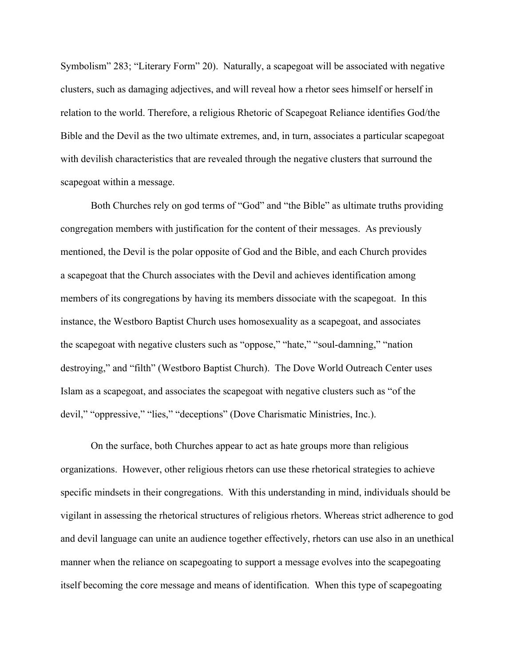Symbolism" 283; "Literary Form" 20). Naturally, a scapegoat will be associated with negative clusters, such as damaging adjectives, and will reveal how a rhetor sees himself or herself in relation to the world. Therefore, a religious Rhetoric of Scapegoat Reliance identifies God/the Bible and the Devil as the two ultimate extremes, and, in turn, associates a particular scapegoat with devilish characteristics that are revealed through the negative clusters that surround the scapegoat within a message.

Both Churches rely on god terms of "God" and "the Bible" as ultimate truths providing congregation members with justification for the content of their messages. As previously mentioned, the Devil is the polar opposite of God and the Bible, and each Church provides a scapegoat that the Church associates with the Devil and achieves identification among members of its congregations by having its members dissociate with the scapegoat. In this instance, the Westboro Baptist Church uses homosexuality as a scapegoat, and associates the scapegoat with negative clusters such as "oppose," "hate," "soul-damning," "nation destroying," and "filth" (Westboro Baptist Church). The Dove World Outreach Center uses Islam as a scapegoat, and associates the scapegoat with negative clusters such as "of the devil," "oppressive," "lies," "deceptions" (Dove Charismatic Ministries, Inc.).

On the surface, both Churches appear to act as hate groups more than religious organizations. However, other religious rhetors can use these rhetorical strategies to achieve specific mindsets in their congregations. With this understanding in mind, individuals should be vigilant in assessing the rhetorical structures of religious rhetors. Whereas strict adherence to god and devil language can unite an audience together effectively, rhetors can use also in an unethical manner when the reliance on scapegoating to support a message evolves into the scapegoating itself becoming the core message and means of identification. When this type of scapegoating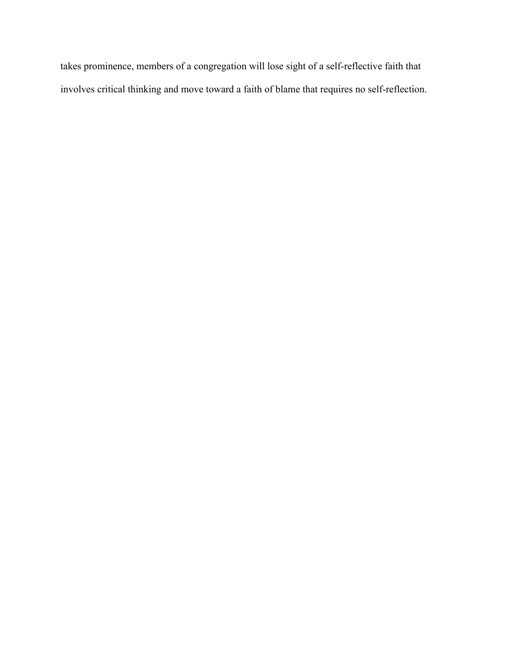takes prominence, members of a congregation will lose sight of a self-reflective faith that involves critical thinking and move toward a faith of blame that requires no self-reflection.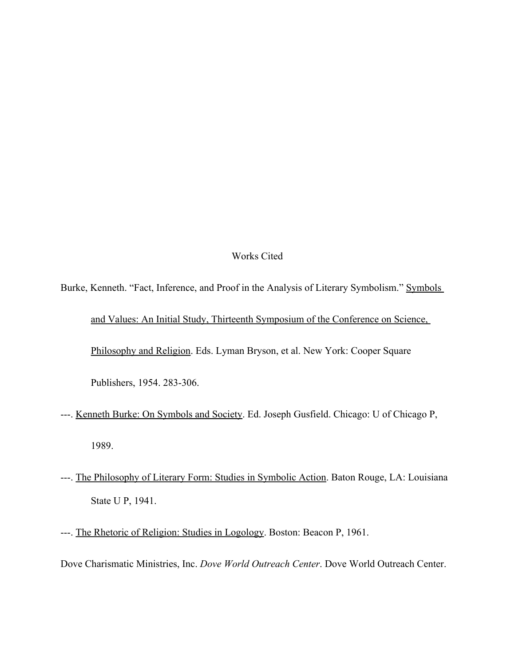## Works Cited

- Burke, Kenneth. "Fact, Inference, and Proof in the Analysis of Literary Symbolism." Symbols and Values: An Initial Study, Thirteenth Symposium of the Conference on Science, Philosophy and Religion. Eds. Lyman Bryson, et al. New York: Cooper Square Publishers, 1954. 283-306.
- ---. Kenneth Burke: On Symbols and Society. Ed. Joseph Gusfield. Chicago: U of Chicago P, 1989.
- ---. The Philosophy of Literary Form: Studies in Symbolic Action. Baton Rouge, LA: Louisiana State U P, 1941.
- ---. The Rhetoric of Religion: Studies in Logology. Boston: Beacon P, 1961.

Dove Charismatic Ministries, Inc. *Dove World Outreach Center*. Dove World Outreach Center.